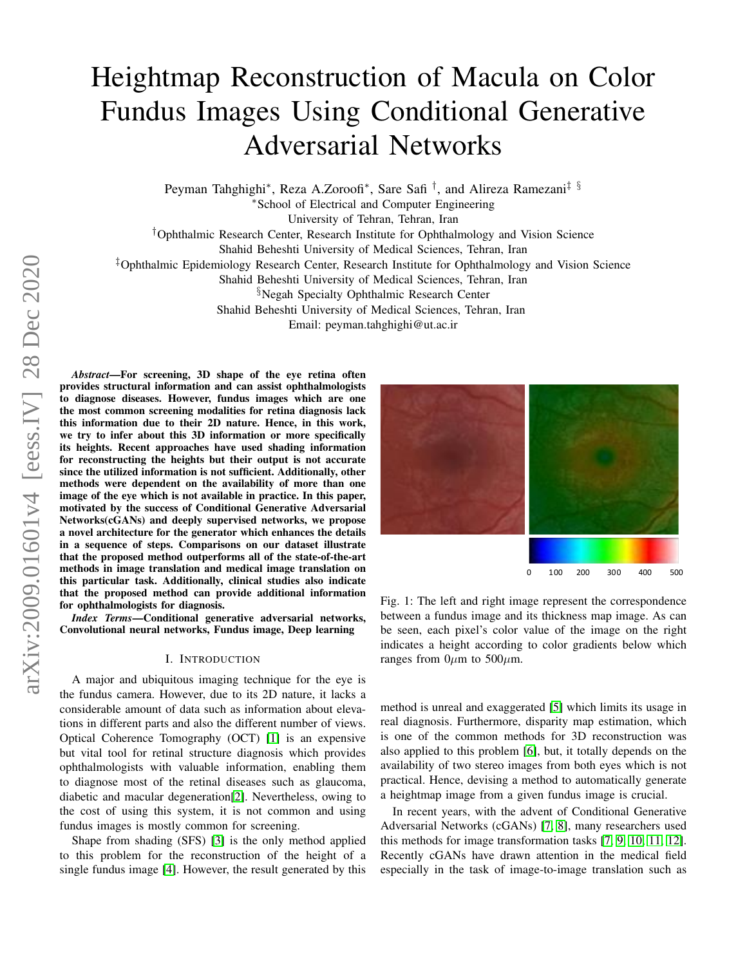# Heightmap Reconstruction of Macula on Color Fundus Images Using Conditional Generative Adversarial Networks

Peyman Tahghighi\*, Reza A.Zoroofi\*, Sare Safi<sup>†</sup>, and Alireza Ramezani<sup>‡ §</sup>

<sup>∗</sup>School of Electrical and Computer Engineering

University of Tehran, Tehran, Iran

†Ophthalmic Research Center, Research Institute for Ophthalmology and Vision Science

Shahid Beheshti University of Medical Sciences, Tehran, Iran

‡Ophthalmic Epidemiology Research Center, Research Institute for Ophthalmology and Vision Science

Shahid Beheshti University of Medical Sciences, Tehran, Iran §Negah Specialty Ophthalmic Research Center Shahid Beheshti University of Medical Sciences, Tehran, Iran

Email: peyman.tahghighi@ut.ac.ir

*Abstract*—For screening, 3D shape of the eye retina often provides structural information and can assist ophthalmologists to diagnose diseases. However, fundus images which are one the most common screening modalities for retina diagnosis lack this information due to their 2D nature. Hence, in this work, we try to infer about this 3D information or more specifically its heights. Recent approaches have used shading information for reconstructing the heights but their output is not accurate since the utilized information is not sufficient. Additionally, other methods were dependent on the availability of more than one image of the eye which is not available in practice. In this paper, motivated by the success of Conditional Generative Adversarial Networks(cGANs) and deeply supervised networks, we propose a novel architecture for the generator which enhances the details in a sequence of steps. Comparisons on our dataset illustrate that the proposed method outperforms all of the state-of-the-art methods in image translation and medical image translation on this particular task. Additionally, clinical studies also indicate that the proposed method can provide additional information for ophthalmologists for diagnosis.

*Index Terms*—Conditional generative adversarial networks, Convolutional neural networks, Fundus image, Deep learning

#### I. INTRODUCTION

A major and ubiquitous imaging technique for the eye is the fundus camera. However, due to its 2D nature, it lacks a considerable amount of data such as information about elevations in different parts and also the different number of views. Optical Coherence Tomography (OCT) [\[1\]](#page-4-0) is an expensive but vital tool for retinal structure diagnosis which provides ophthalmologists with valuable information, enabling them to diagnose most of the retinal diseases such as glaucoma, diabetic and macular degeneration[\[2\]](#page-4-1). Nevertheless, owing to the cost of using this system, it is not common and using fundus images is mostly common for screening.

Shape from shading (SFS) [\[3\]](#page-4-2) is the only method applied to this problem for the reconstruction of the height of a single fundus image [\[4\]](#page-4-3). However, the result generated by this

<span id="page-0-0"></span>

Fig. 1: The left and right image represent the correspondence between a fundus image and its thickness map image. As can be seen, each pixel's color value of the image on the right indicates a height according to color gradients below which ranges from  $0\mu$ m to 500 $\mu$ m.

method is unreal and exaggerated [\[5\]](#page-4-4) which limits its usage in real diagnosis. Furthermore, disparity map estimation, which is one of the common methods for 3D reconstruction was also applied to this problem [\[6\]](#page-4-5), but, it totally depends on the availability of two stereo images from both eyes which is not practical. Hence, devising a method to automatically generate a heightmap image from a given fundus image is crucial.

In recent years, with the advent of Conditional Generative Adversarial Networks (cGANs) [\[7,](#page-4-6) [8\]](#page-4-7), many researchers used this methods for image transformation tasks [\[7,](#page-4-6) [9,](#page-4-8) [10,](#page-4-9) [11,](#page-4-10) [12\]](#page-5-0). Recently cGANs have drawn attention in the medical field especially in the task of image-to-image translation such as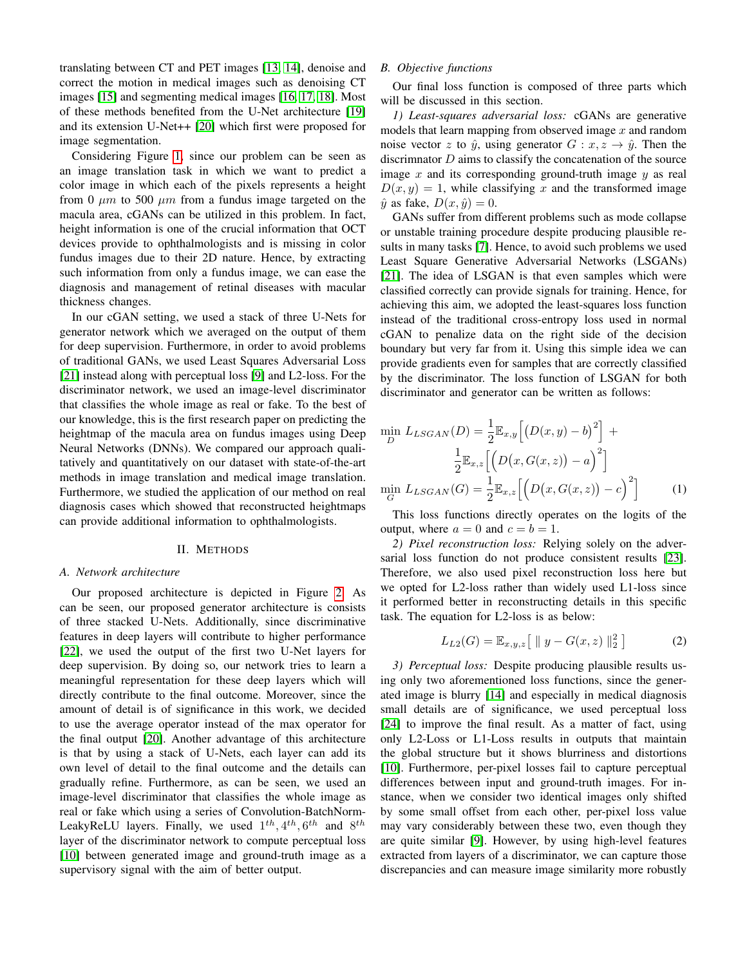translating between CT and PET images [\[13,](#page-5-1) [14\]](#page-5-2), denoise and correct the motion in medical images such as denoising CT images [\[15\]](#page-5-3) and segmenting medical images [\[16,](#page-5-4) [17,](#page-5-5) [18\]](#page-5-6). Most of these methods benefited from the U-Net architecture [\[19\]](#page-5-7) and its extension U-Net++ [\[20\]](#page-5-8) which first were proposed for image segmentation.

Considering Figure [1,](#page-0-0) since our problem can be seen as an image translation task in which we want to predict a color image in which each of the pixels represents a height from 0  $\mu$ m to 500  $\mu$ m from a fundus image targeted on the macula area, cGANs can be utilized in this problem. In fact, height information is one of the crucial information that OCT devices provide to ophthalmologists and is missing in color fundus images due to their 2D nature. Hence, by extracting such information from only a fundus image, we can ease the diagnosis and management of retinal diseases with macular thickness changes.

In our cGAN setting, we used a stack of three U-Nets for generator network which we averaged on the output of them for deep supervision. Furthermore, in order to avoid problems of traditional GANs, we used Least Squares Adversarial Loss [\[21\]](#page-5-9) instead along with perceptual loss [\[9\]](#page-4-8) and L2-loss. For the discriminator network, we used an image-level discriminator that classifies the whole image as real or fake. To the best of our knowledge, this is the first research paper on predicting the heightmap of the macula area on fundus images using Deep Neural Networks (DNNs). We compared our approach qualitatively and quantitatively on our dataset with state-of-the-art methods in image translation and medical image translation. Furthermore, we studied the application of our method on real diagnosis cases which showed that reconstructed heightmaps can provide additional information to ophthalmologists.

#### II. METHODS

#### *A. Network architecture*

Our proposed architecture is depicted in Figure [2.](#page-2-0) As can be seen, our proposed generator architecture is consists of three stacked U-Nets. Additionally, since discriminative features in deep layers will contribute to higher performance [\[22\]](#page-5-10), we used the output of the first two U-Net layers for deep supervision. By doing so, our network tries to learn a meaningful representation for these deep layers which will directly contribute to the final outcome. Moreover, since the amount of detail is of significance in this work, we decided to use the average operator instead of the max operator for the final output [\[20\]](#page-5-8). Another advantage of this architecture is that by using a stack of U-Nets, each layer can add its own level of detail to the final outcome and the details can gradually refine. Furthermore, as can be seen, we used an image-level discriminator that classifies the whole image as real or fake which using a series of Convolution-BatchNorm-LeakyReLU layers. Finally, we used  $1^{th}$ ,  $4^{th}$ ,  $6^{th}$  and  $8^{th}$ layer of the discriminator network to compute perceptual loss [\[10\]](#page-4-9) between generated image and ground-truth image as a supervisory signal with the aim of better output.

## *B. Objective functions*

Our final loss function is composed of three parts which will be discussed in this section.

*1) Least-squares adversarial loss:* cGANs are generative models that learn mapping from observed image  $x$  and random noise vector z to  $\hat{y}$ , using generator  $G: x, z \rightarrow \hat{y}$ . Then the discrimnator  $D$  aims to classify the concatenation of the source image  $x$  and its corresponding ground-truth image  $y$  as real  $D(x, y) = 1$ , while classifying x and the transformed image  $\hat{y}$  as fake,  $D(x, \hat{y}) = 0$ .

GANs suffer from different problems such as mode collapse or unstable training procedure despite producing plausible results in many tasks [\[7\]](#page-4-6). Hence, to avoid such problems we used Least Square Generative Adversarial Networks (LSGANs) [\[21\]](#page-5-9). The idea of LSGAN is that even samples which were classified correctly can provide signals for training. Hence, for achieving this aim, we adopted the least-squares loss function instead of the traditional cross-entropy loss used in normal cGAN to penalize data on the right side of the decision boundary but very far from it. Using this simple idea we can provide gradients even for samples that are correctly classified by the discriminator. The loss function of LSGAN for both discriminator and generator can be written as follows:

$$
\min_{D} L_{LSGAN}(D) = \frac{1}{2} \mathbb{E}_{x,y} \left[ \left( D(x,y) - b \right)^2 \right] + \frac{1}{2} \mathbb{E}_{x,z} \left[ \left( D(x, G(x,z)) - a \right)^2 \right]
$$

$$
\min_{G} L_{LSGAN}(G) = \frac{1}{2} \mathbb{E}_{x,z} \left[ \left( D(x, G(x,z)) - c \right)^2 \right] \tag{1}
$$

This loss functions directly operates on the logits of the output, where  $a = 0$  and  $c = b = 1$ .

*2) Pixel reconstruction loss:* Relying solely on the adversarial loss function do not produce consistent results [\[23\]](#page-5-11). Therefore, we also used pixel reconstruction loss here but we opted for L2-loss rather than widely used L1-loss since it performed better in reconstructing details in this specific task. The equation for L2-loss is as below:

$$
L_{L2}(G) = \mathbb{E}_{x,y,z} [ || y - G(x,z) ||_2^2 ]
$$
 (2)

*3) Perceptual loss:* Despite producing plausible results using only two aforementioned loss functions, since the generated image is blurry [\[14\]](#page-5-2) and especially in medical diagnosis small details are of significance, we used perceptual loss [\[24\]](#page-5-12) to improve the final result. As a matter of fact, using only L2-Loss or L1-Loss results in outputs that maintain the global structure but it shows blurriness and distortions [\[10\]](#page-4-9). Furthermore, per-pixel losses fail to capture perceptual differences between input and ground-truth images. For instance, when we consider two identical images only shifted by some small offset from each other, per-pixel loss value may vary considerably between these two, even though they are quite similar [\[9\]](#page-4-8). However, by using high-level features extracted from layers of a discriminator, we can capture those discrepancies and can measure image similarity more robustly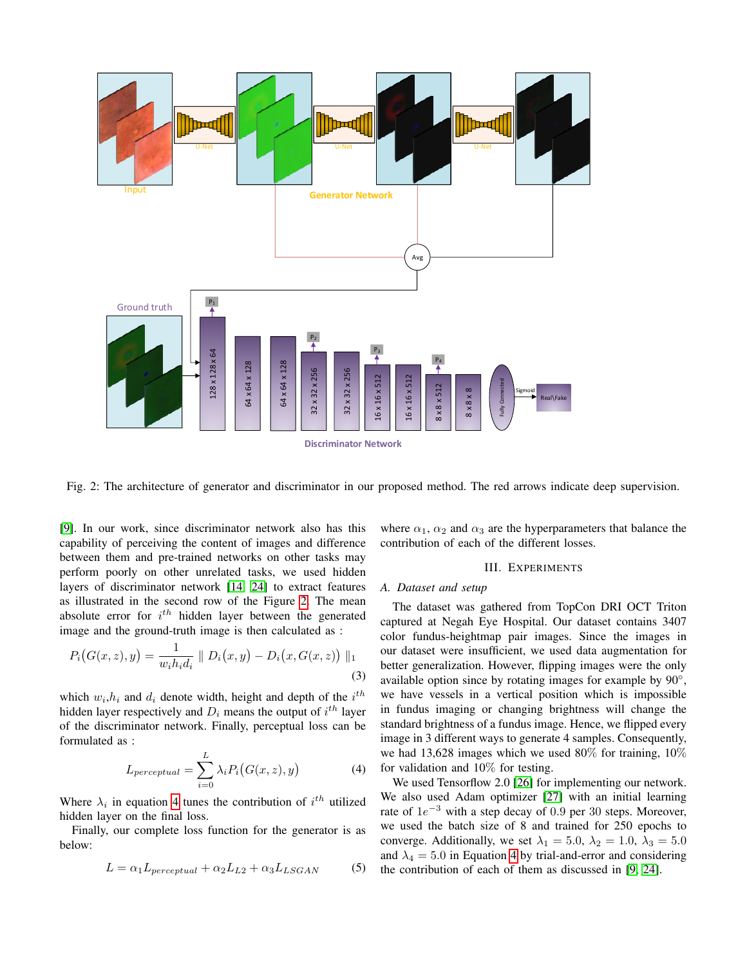<span id="page-2-0"></span>

Fig. 2: The architecture of generator and discriminator in our proposed method. The red arrows indicate deep supervision.

[\[9\]](#page-4-8). In our work, since discriminator network also has this capability of perceiving the content of images and difference between them and pre-trained networks on other tasks may perform poorly on other unrelated tasks, we used hidden layers of discriminator network [\[14,](#page-5-2) [24\]](#page-5-12) to extract features as illustrated in the second row of the Figure [2.](#page-2-0) The mean absolute error for  $i^{th}$  hidden layer between the generated image and the ground-truth image is then calculated as :

$$
P_i(G(x, z), y) = \frac{1}{w_i h_i d_i} || D_i(x, y) - D_i(x, G(x, z)) ||_1
$$
\n(3)

which  $w_i, h_i$  and  $d_i$  denote width, height and depth of the  $i^{th}$ hidden layer respectively and  $D_i$  means the output of  $i^{th}$  layer of the discriminator network. Finally, perceptual loss can be formulated as :

$$
L_{perceptual} = \sum_{i=0}^{L} \lambda_i P_i(G(x, z), y)
$$
 (4)

<span id="page-2-1"></span>Where  $\lambda_i$  in equation [4](#page-2-1) tunes the contribution of  $i^{th}$  utilized hidden layer on the final loss.

Finally, our complete loss function for the generator is as below:

$$
L = \alpha_1 L_{perceptual} + \alpha_2 L_{L2} + \alpha_3 L_{LSGAN}
$$
 (5)

where  $\alpha_1$ ,  $\alpha_2$  and  $\alpha_3$  are the hyperparameters that balance the contribution of each of the different losses.

## III. EXPERIMENTS

#### *A. Dataset and setup*

The dataset was gathered from TopCon DRI OCT Triton captured at Negah Eye Hospital. Our dataset contains 3407 color fundus-heightmap pair images. Since the images in our dataset were insufficient, we used data augmentation for better generalization. However, flipping images were the only available option since by rotating images for example by 90°, we have vessels in a vertical position which is impossible in fundus imaging or changing brightness will change the standard brightness of a fundus image. Hence, we flipped every image in 3 different ways to generate 4 samples. Consequently, we had 13,628 images which we used 80% for training,  $10\%$ for validation and 10% for testing.

We used Tensorflow 2.0 [\[26\]](#page-5-13) for implementing our network. We also used Adam optimizer [\[27\]](#page-5-14) with an initial learning rate of  $1e^{-3}$  with a step decay of 0.9 per 30 steps. Moreover, we used the batch size of 8 and trained for 250 epochs to converge. Additionally, we set  $\lambda_1 = 5.0$ ,  $\lambda_2 = 1.0$ ,  $\lambda_3 = 5.0$ and  $\lambda_4 = 5.0$  in Equation [4](#page-2-1) by trial-and-error and considering the contribution of each of them as discussed in [\[9,](#page-4-8) [24\]](#page-5-12).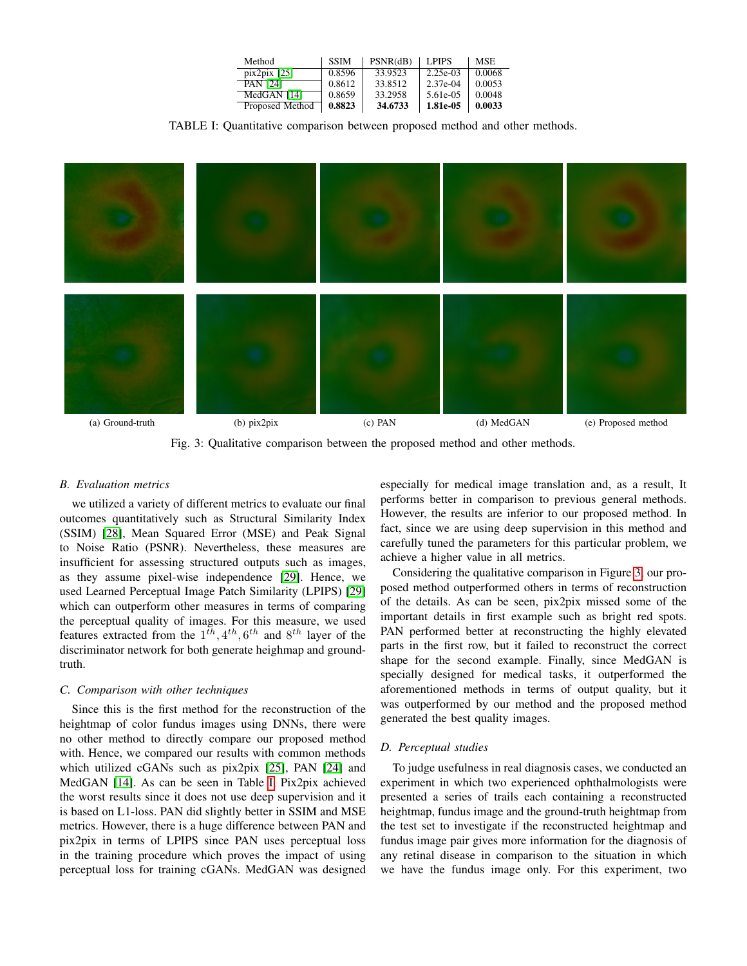| Method          | <b>SSIM</b> | PSNR(dB) | LPIPS      | <b>MSE</b> |
|-----------------|-------------|----------|------------|------------|
| $pix2pix$ [25]  | 0.8596      | 33.9523  | $2.25e-03$ | 0.0068     |
| <b>PAN [24]</b> | 0.8612      | 33.8512  | $2.37e-04$ | 0.0053     |
| MedGAN [14]     | 0.8659      | 33.2958  | 5.61e-05   | 0.0048     |
| Proposed Method | 0.8823      | 34.6733  | 1.81e-05   | 0.0033     |

TABLE I: Quantitative comparison between proposed method and other methods.

<span id="page-3-1"></span><span id="page-3-0"></span>

Fig. 3: Qualitative comparison between the proposed method and other methods.

## *B. Evaluation metrics*

we utilized a variety of different metrics to evaluate our final outcomes quantitatively such as Structural Similarity Index (SSIM) [\[28\]](#page-5-16), Mean Squared Error (MSE) and Peak Signal to Noise Ratio (PSNR). Nevertheless, these measures are insufficient for assessing structured outputs such as images, as they assume pixel-wise independence [\[29\]](#page-5-17). Hence, we used Learned Perceptual Image Patch Similarity (LPIPS) [\[29\]](#page-5-17) which can outperform other measures in terms of comparing the perceptual quality of images. For this measure, we used features extracted from the  $1^{th}$ ,  $4^{th}$ ,  $6^{th}$  and  $8^{th}$  layer of the discriminator network for both generate heighmap and groundtruth.

#### *C. Comparison with other techniques*

Since this is the first method for the reconstruction of the heightmap of color fundus images using DNNs, there were no other method to directly compare our proposed method with. Hence, we compared our results with common methods which utilized cGANs such as pix2pix [\[25\]](#page-5-15), PAN [\[24\]](#page-5-12) and MedGAN [\[14\]](#page-5-2). As can be seen in Table [I,](#page-3-0) Pix2pix achieved the worst results since it does not use deep supervision and it is based on L1-loss. PAN did slightly better in SSIM and MSE metrics. However, there is a huge difference between PAN and pix2pix in terms of LPIPS since PAN uses perceptual loss in the training procedure which proves the impact of using perceptual loss for training cGANs. MedGAN was designed

especially for medical image translation and, as a result, It performs better in comparison to previous general methods. However, the results are inferior to our proposed method. In fact, since we are using deep supervision in this method and carefully tuned the parameters for this particular problem, we achieve a higher value in all metrics.

Considering the qualitative comparison in Figure [3,](#page-3-1) our proposed method outperformed others in terms of reconstruction of the details. As can be seen, pix2pix missed some of the important details in first example such as bright red spots. PAN performed better at reconstructing the highly elevated parts in the first row, but it failed to reconstruct the correct shape for the second example. Finally, since MedGAN is specially designed for medical tasks, it outperformed the aforementioned methods in terms of output quality, but it was outperformed by our method and the proposed method generated the best quality images.

#### *D. Perceptual studies*

To judge usefulness in real diagnosis cases, we conducted an experiment in which two experienced ophthalmologists were presented a series of trails each containing a reconstructed heightmap, fundus image and the ground-truth heightmap from the test set to investigate if the reconstructed heightmap and fundus image pair gives more information for the diagnosis of any retinal disease in comparison to the situation in which we have the fundus image only. For this experiment, two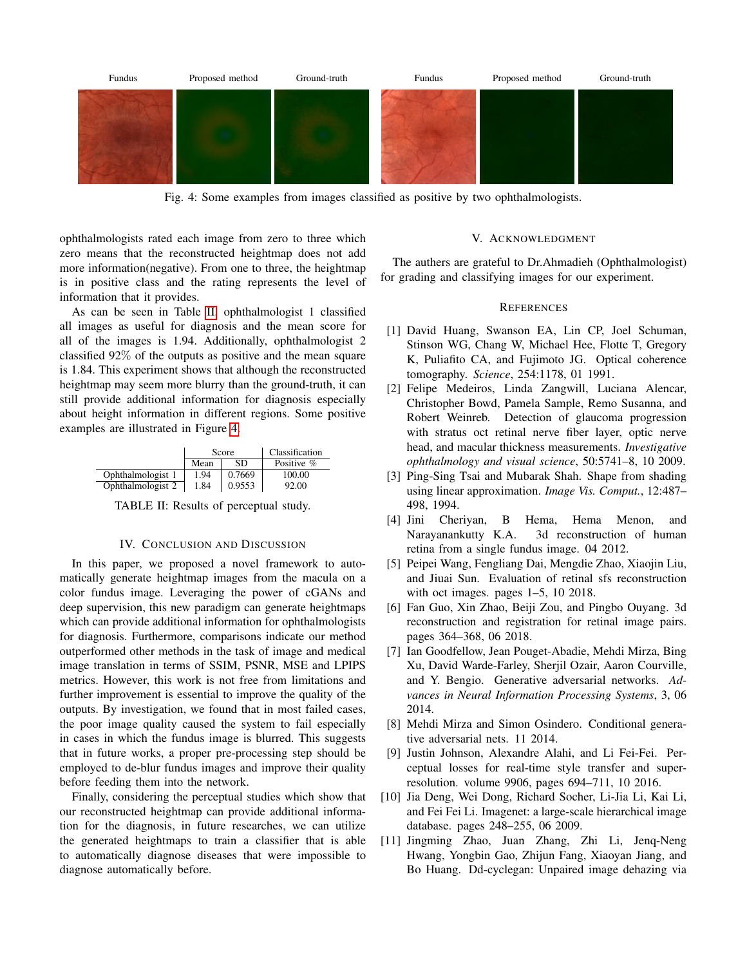<span id="page-4-12"></span>

Fig. 4: Some examples from images classified as positive by two ophthalmologists.

ophthalmologists rated each image from zero to three which zero means that the reconstructed heightmap does not add more information(negative). From one to three, the heightmap is in positive class and the rating represents the level of information that it provides.

As can be seen in Table [II,](#page-4-11) ophthalmologist 1 classified all images as useful for diagnosis and the mean score for all of the images is 1.94. Additionally, ophthalmologist 2 classified 92% of the outputs as positive and the mean square is 1.84. This experiment shows that although the reconstructed heightmap may seem more blurry than the ground-truth, it can still provide additional information for diagnosis especially about height information in different regions. Some positive examples are illustrated in Figure [4.](#page-4-12)

<span id="page-4-11"></span>

|                   | Score |        | Classification |  |
|-------------------|-------|--------|----------------|--|
|                   | Mean  | SD     | Positive %     |  |
| Ophthalmologist 1 | 1.94  | 0.7669 | 100.00         |  |
| Ophthalmologist 2 | 1.84  | 0.9553 | 92.00          |  |

TABLE II: Results of perceptual study.

## IV. CONCLUSION AND DISCUSSION

In this paper, we proposed a novel framework to automatically generate heightmap images from the macula on a color fundus image. Leveraging the power of cGANs and deep supervision, this new paradigm can generate heightmaps which can provide additional information for ophthalmologists for diagnosis. Furthermore, comparisons indicate our method outperformed other methods in the task of image and medical image translation in terms of SSIM, PSNR, MSE and LPIPS metrics. However, this work is not free from limitations and further improvement is essential to improve the quality of the outputs. By investigation, we found that in most failed cases, the poor image quality caused the system to fail especially in cases in which the fundus image is blurred. This suggests that in future works, a proper pre-processing step should be employed to de-blur fundus images and improve their quality before feeding them into the network.

Finally, considering the perceptual studies which show that our reconstructed heightmap can provide additional information for the diagnosis, in future researches, we can utilize the generated heightmaps to train a classifier that is able to automatically diagnose diseases that were impossible to diagnose automatically before.

## V. ACKNOWLEDGMENT

The authers are grateful to Dr.Ahmadieh (Ophthalmologist) for grading and classifying images for our experiment.

## **REFERENCES**

- <span id="page-4-0"></span>[1] David Huang, Swanson EA, Lin CP, Joel Schuman, Stinson WG, Chang W, Michael Hee, Flotte T, Gregory K, Puliafito CA, and Fujimoto JG. Optical coherence tomography. *Science*, 254:1178, 01 1991.
- <span id="page-4-1"></span>[2] Felipe Medeiros, Linda Zangwill, Luciana Alencar, Christopher Bowd, Pamela Sample, Remo Susanna, and Robert Weinreb. Detection of glaucoma progression with stratus oct retinal nerve fiber layer, optic nerve head, and macular thickness measurements. *Investigative ophthalmology and visual science*, 50:5741–8, 10 2009.
- <span id="page-4-2"></span>[3] Ping-Sing Tsai and Mubarak Shah. Shape from shading using linear approximation. *Image Vis. Comput.*, 12:487– 498, 1994.
- <span id="page-4-3"></span>[4] Jini Cheriyan, B Hema, Hema Menon, and Narayanankutty K.A. 3d reconstruction of human retina from a single fundus image. 04 2012.
- <span id="page-4-4"></span>[5] Peipei Wang, Fengliang Dai, Mengdie Zhao, Xiaojin Liu, and Jiuai Sun. Evaluation of retinal sfs reconstruction with oct images. pages 1–5, 10 2018.
- <span id="page-4-5"></span>[6] Fan Guo, Xin Zhao, Beiji Zou, and Pingbo Ouyang. 3d reconstruction and registration for retinal image pairs. pages 364–368, 06 2018.
- <span id="page-4-6"></span>[7] Ian Goodfellow, Jean Pouget-Abadie, Mehdi Mirza, Bing Xu, David Warde-Farley, Sherjil Ozair, Aaron Courville, and Y. Bengio. Generative adversarial networks. *Advances in Neural Information Processing Systems*, 3, 06 2014.
- <span id="page-4-7"></span>[8] Mehdi Mirza and Simon Osindero. Conditional generative adversarial nets. 11 2014.
- <span id="page-4-8"></span>[9] Justin Johnson, Alexandre Alahi, and Li Fei-Fei. Perceptual losses for real-time style transfer and superresolution. volume 9906, pages 694–711, 10 2016.
- <span id="page-4-9"></span>[10] Jia Deng, Wei Dong, Richard Socher, Li-Jia Li, Kai Li, and Fei Fei Li. Imagenet: a large-scale hierarchical image database. pages 248–255, 06 2009.
- <span id="page-4-10"></span>[11] Jingming Zhao, Juan Zhang, Zhi Li, Jenq-Neng Hwang, Yongbin Gao, Zhijun Fang, Xiaoyan Jiang, and Bo Huang. Dd-cyclegan: Unpaired image dehazing via